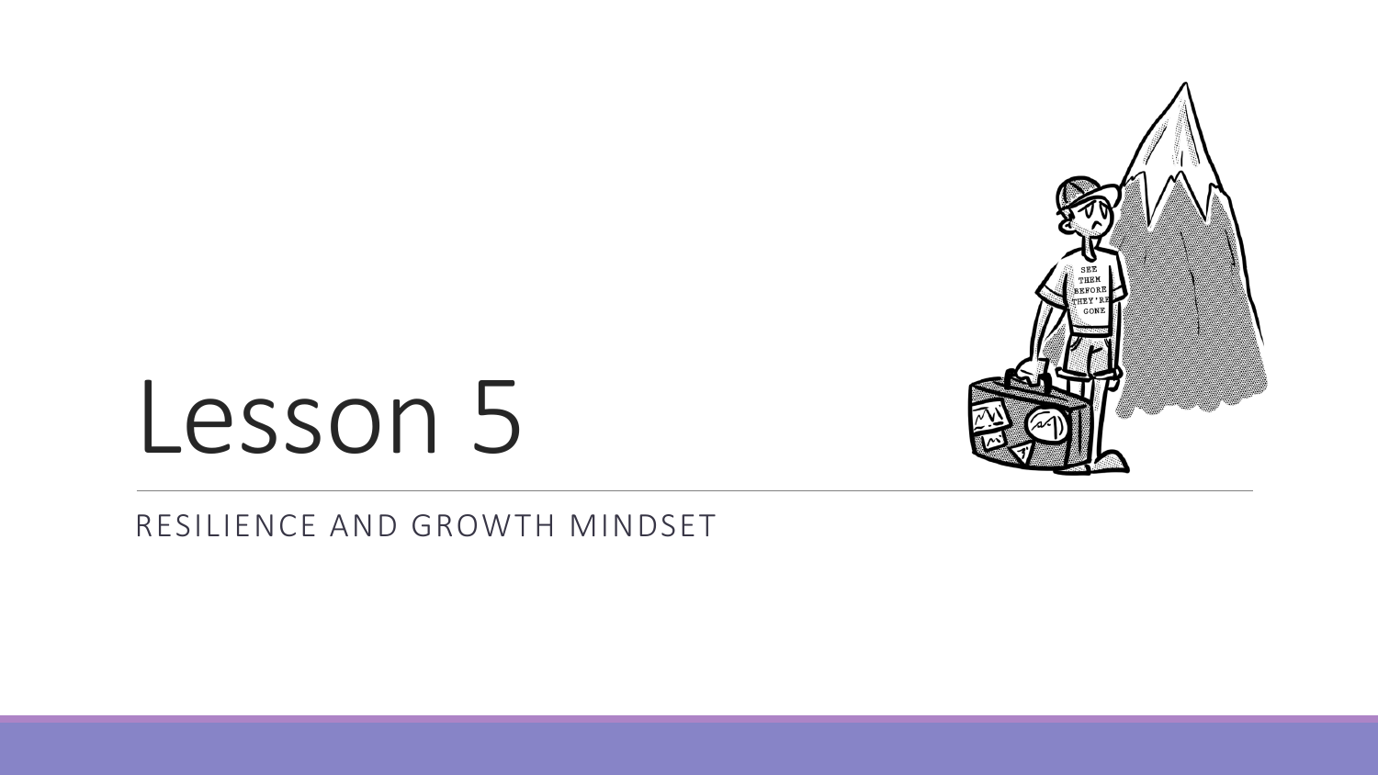

## Lesson 5

#### RESILIENCE AND GROWTH MINDSET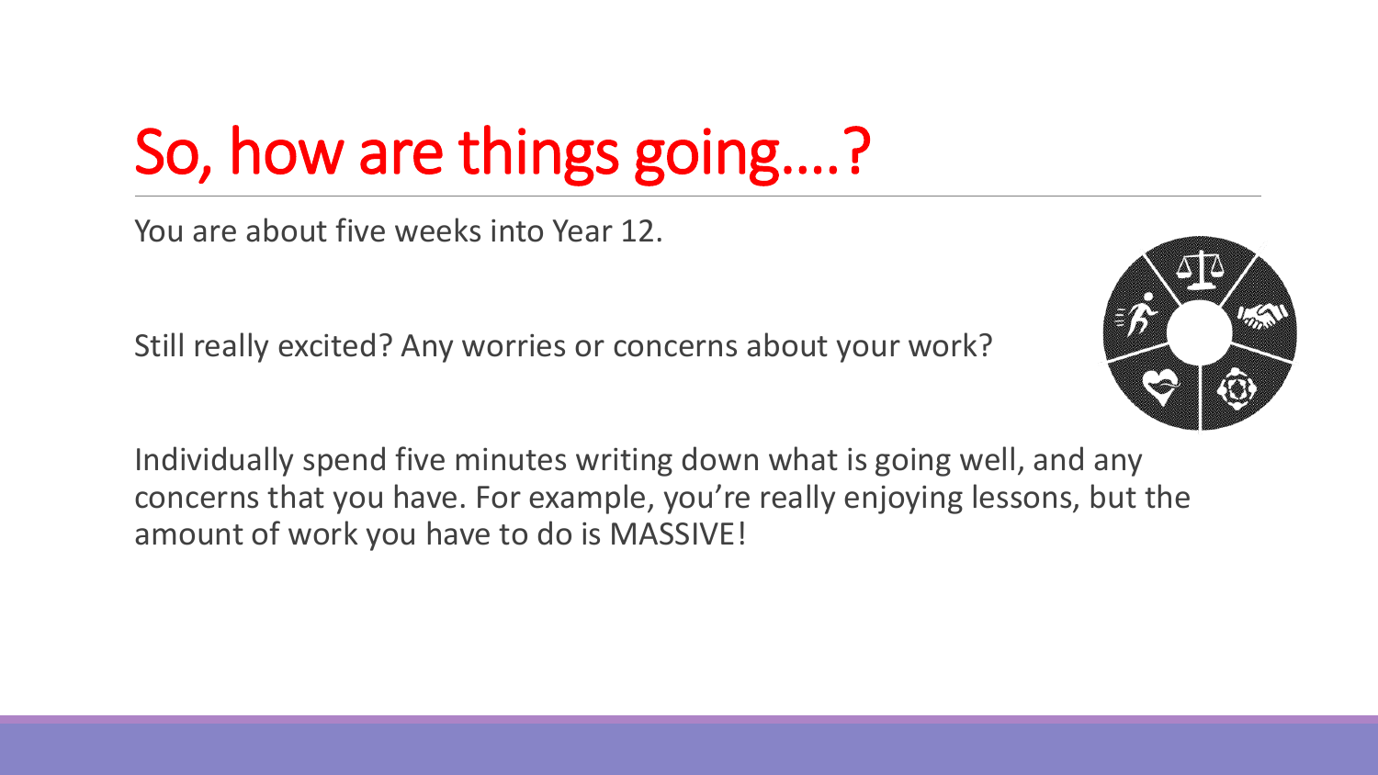### So, how are things going….?

You are about five weeks into Year 12.

Still really excited? Any worries or concerns about your work?



Individually spend five minutes writing down what is going well, and any concerns that you have. For example, you're really enjoying lessons, but the amount of work you have to do is MASSIVE!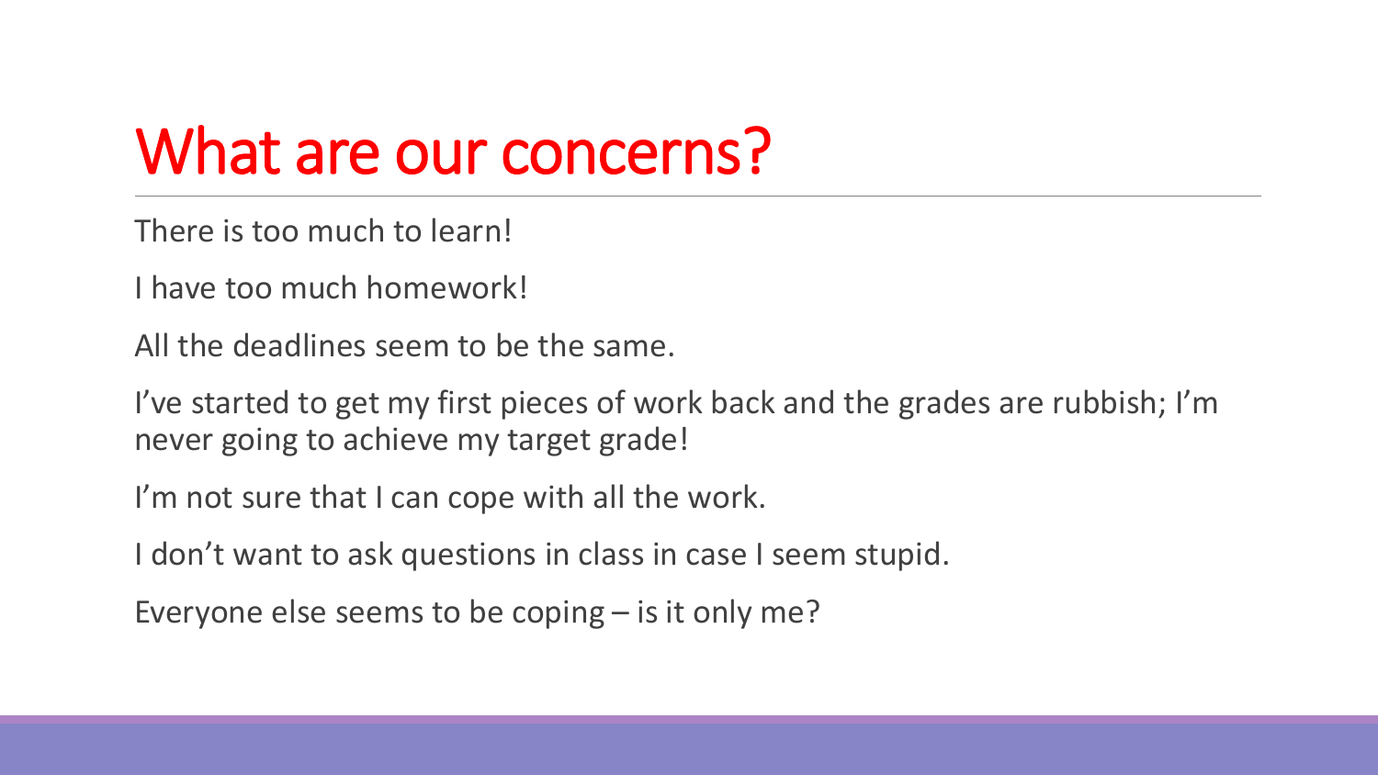#### What are our concerns?

There is too much to learn!

I have too much homework!

All the deadlines seem to be the same.

I've started to get my first pieces of work back and the grades are rubbish; I'm never going to achieve my target grade!

I'm not sure that I can cope with all the work.

I don't want to ask questions in class in case I seem stupid.

Everyone else seems to be coping – is it only me?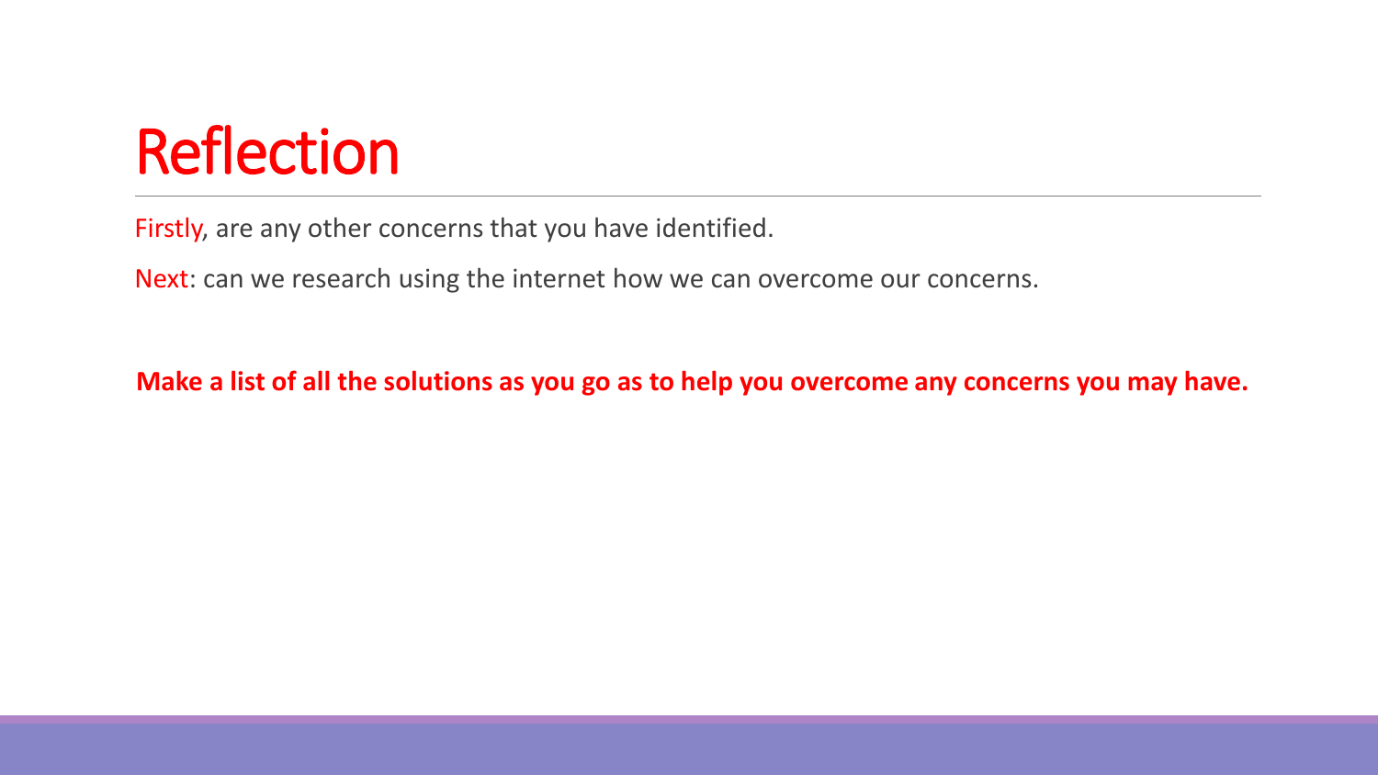#### Reflection

Firstly, are any other concerns that you have identified.

Next: can we research using the internet how we can overcome our concerns.

**Make a list of all the solutions as you go as to help you overcome any concerns you may have.**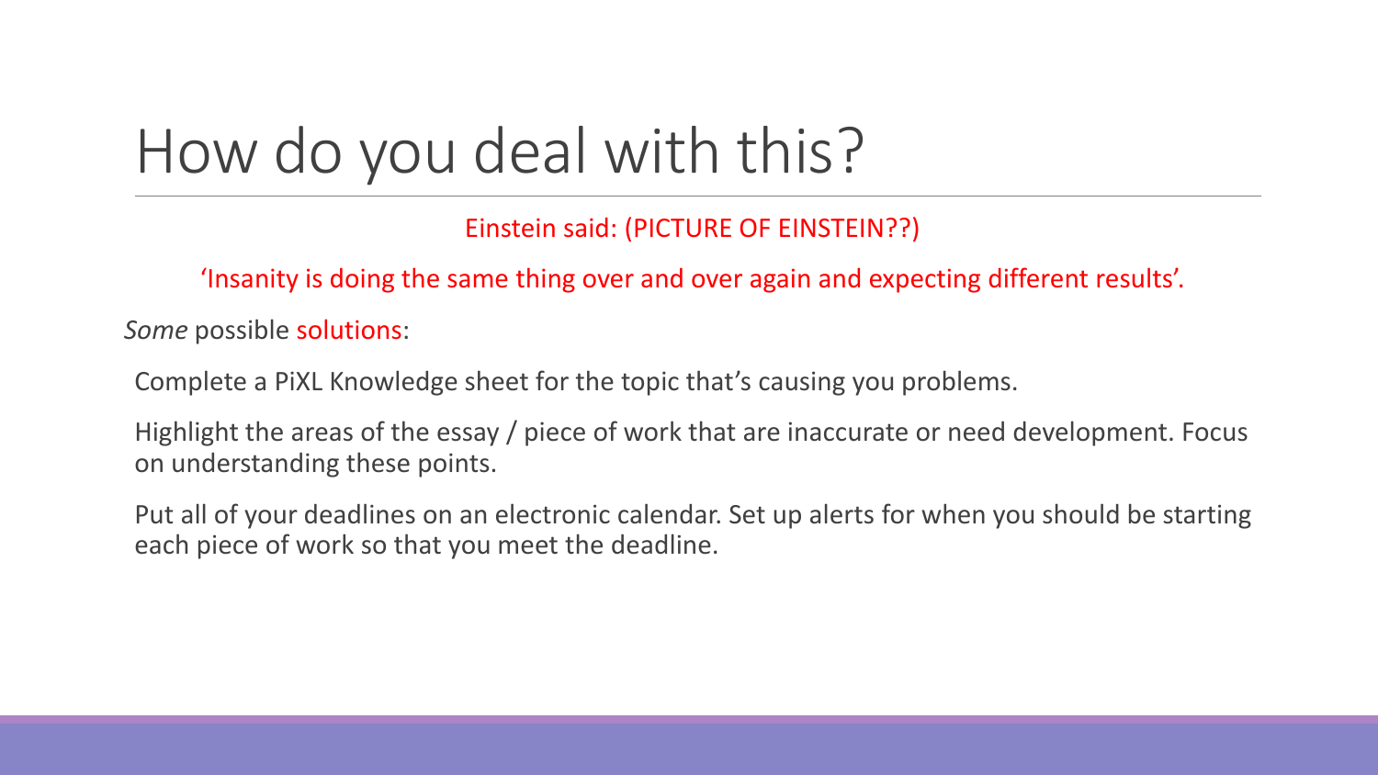#### How do you deal with this?

Einstein said: (PICTURE OF EINSTEIN??)

'Insanity is doing the same thing over and over again and expecting different results'.

*Some* possible solutions:

Complete a PiXL Knowledge sheet for the topic that's causing you problems.

Highlight the areas of the essay / piece of work that are inaccurate or need development. Focus on understanding these points.

Put all of your deadlines on an electronic calendar. Set up alerts for when you should be starting each piece of work so that you meet the deadline.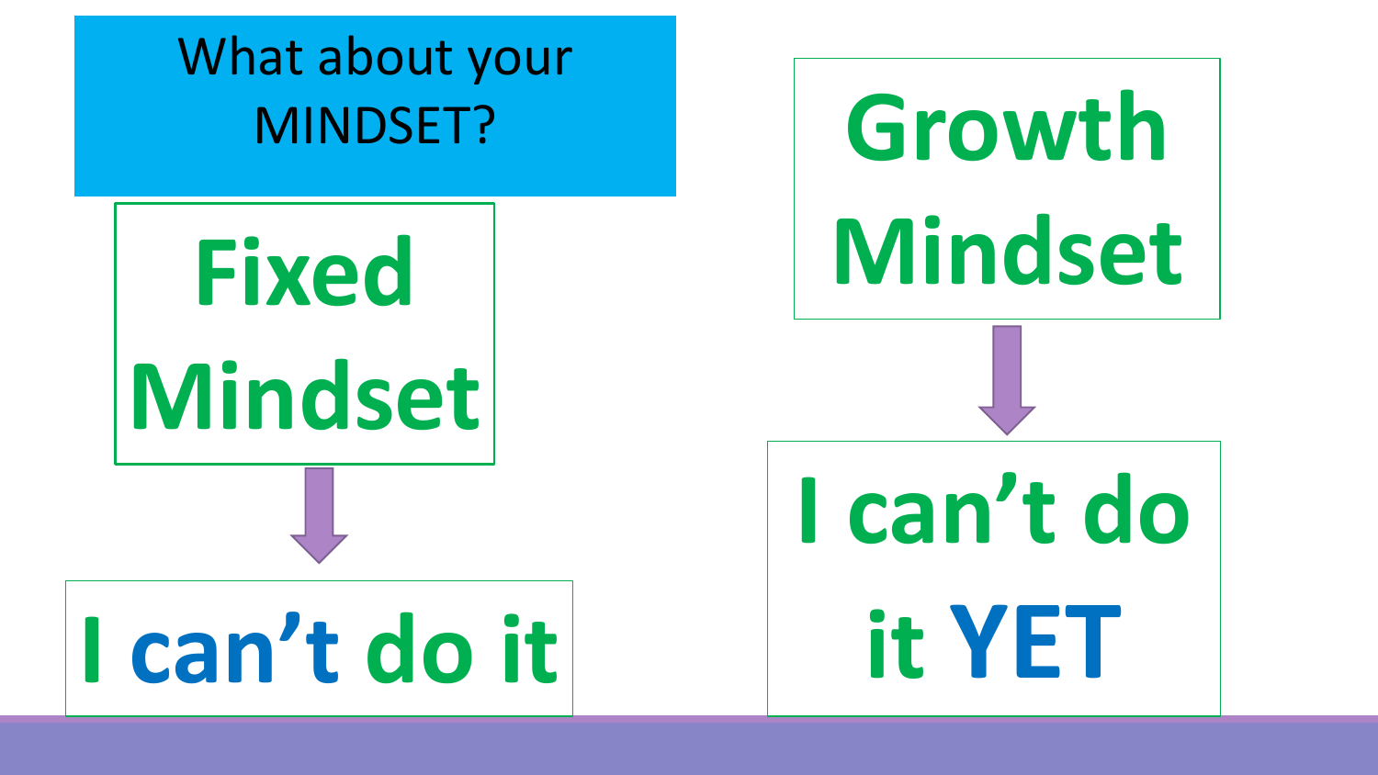# **Fixed Mindset I can't do it** What about your MINDSET?